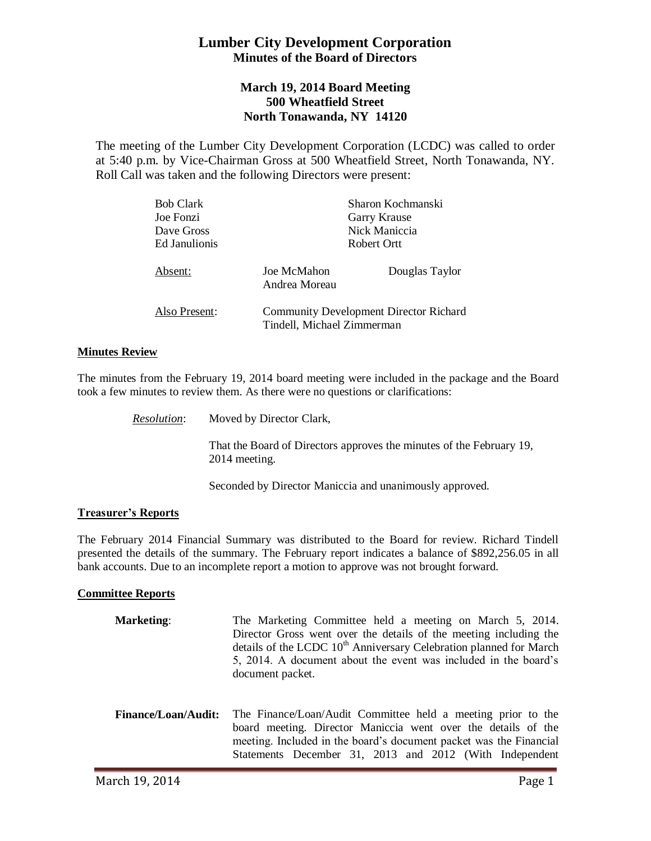# **Lumber City Development Corporation Minutes of the Board of Directors**

# **March 19, 2014 Board Meeting 500 Wheatfield Street North Tonawanda, NY 14120**

The meeting of the Lumber City Development Corporation (LCDC) was called to order at 5:40 p.m. by Vice-Chairman Gross at 500 Wheatfield Street, North Tonawanda, NY. Roll Call was taken and the following Directors were present:

| <b>Bob Clark</b> |                                                                             | Sharon Kochmanski |
|------------------|-----------------------------------------------------------------------------|-------------------|
| Joe Fonzi        |                                                                             | Garry Krause      |
| Dave Gross       |                                                                             | Nick Maniccia     |
| Ed Janulionis    | Robert Ortt                                                                 |                   |
| Absent:          | Joe McMahon<br>Andrea Moreau                                                | Douglas Taylor    |
| Also Present:    | <b>Community Development Director Richard</b><br>Tindell, Michael Zimmerman |                   |

#### **Minutes Review**

The minutes from the February 19, 2014 board meeting were included in the package and the Board took a few minutes to review them. As there were no questions or clarifications:

*Resolution*: Moved by Director Clark,

That the Board of Directors approves the minutes of the February 19, 2014 meeting.

Seconded by Director Maniccia and unanimously approved.

### **Treasurer's Reports**

The February 2014 Financial Summary was distributed to the Board for review. Richard Tindell presented the details of the summary. The February report indicates a balance of \$892,256.05 in all bank accounts. Due to an incomplete report a motion to approve was not brought forward.

### **Committee Reports**

| <b>Marketing:</b> | The Marketing Committee held a meeting on March 5, 2014.                       |
|-------------------|--------------------------------------------------------------------------------|
|                   | Director Gross went over the details of the meeting including the              |
|                   | details of the LCDC 10 <sup>th</sup> Anniversary Celebration planned for March |
|                   | 5, 2014. A document about the event was included in the board's                |
|                   | document packet.                                                               |
|                   |                                                                                |

**Finance/Loan/Audit:** The Finance/Loan/Audit Committee held a meeting prior to the board meeting. Director Maniccia went over the details of the meeting. Included in the board's document packet was the Financial Statements December 31, 2013 and 2012 (With Independent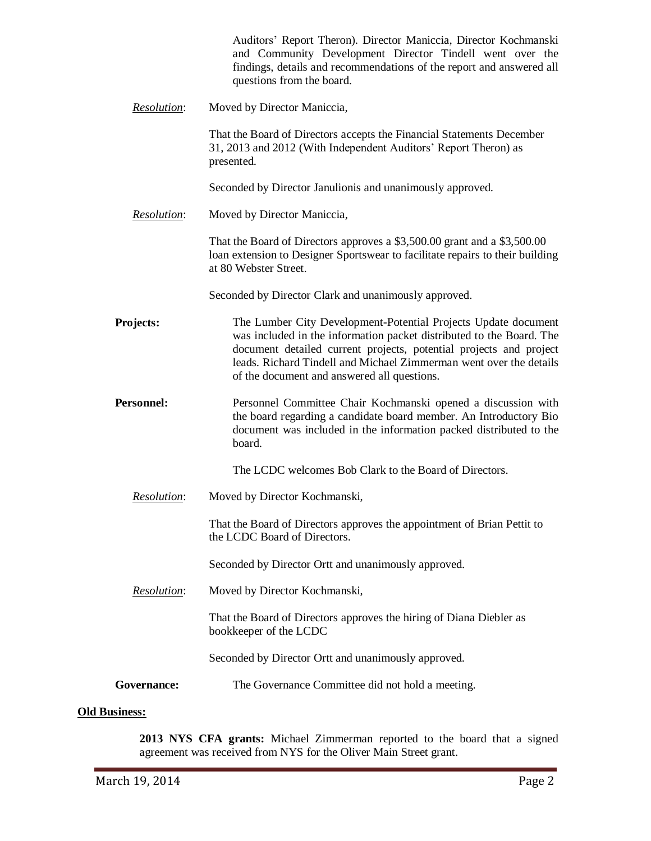|                    | Auditors' Report Theron). Director Maniccia, Director Kochmanski<br>and Community Development Director Tindell went over the<br>findings, details and recommendations of the report and answered all<br>questions from the board.                                                                                                 |
|--------------------|-----------------------------------------------------------------------------------------------------------------------------------------------------------------------------------------------------------------------------------------------------------------------------------------------------------------------------------|
| Resolution:        | Moved by Director Maniccia,                                                                                                                                                                                                                                                                                                       |
|                    | That the Board of Directors accepts the Financial Statements December<br>31, 2013 and 2012 (With Independent Auditors' Report Theron) as<br>presented.                                                                                                                                                                            |
|                    | Seconded by Director Janulionis and unanimously approved.                                                                                                                                                                                                                                                                         |
| Resolution:        | Moved by Director Maniccia,                                                                                                                                                                                                                                                                                                       |
|                    | That the Board of Directors approves a \$3,500.00 grant and a \$3,500.00<br>loan extension to Designer Sportswear to facilitate repairs to their building<br>at 80 Webster Street.                                                                                                                                                |
|                    | Seconded by Director Clark and unanimously approved.                                                                                                                                                                                                                                                                              |
| Projects:          | The Lumber City Development-Potential Projects Update document<br>was included in the information packet distributed to the Board. The<br>document detailed current projects, potential projects and project<br>leads. Richard Tindell and Michael Zimmerman went over the details<br>of the document and answered all questions. |
| <b>Personnel:</b>  | Personnel Committee Chair Kochmanski opened a discussion with<br>the board regarding a candidate board member. An Introductory Bio<br>document was included in the information packed distributed to the<br>board.                                                                                                                |
|                    | The LCDC welcomes Bob Clark to the Board of Directors.                                                                                                                                                                                                                                                                            |
| Resolution:        | Moved by Director Kochmanski,                                                                                                                                                                                                                                                                                                     |
|                    | That the Board of Directors approves the appointment of Brian Pettit to<br>the LCDC Board of Directors.                                                                                                                                                                                                                           |
|                    | Seconded by Director Ortt and unanimously approved.                                                                                                                                                                                                                                                                               |
| <b>Resolution:</b> | Moved by Director Kochmanski,                                                                                                                                                                                                                                                                                                     |
|                    | That the Board of Directors approves the hiring of Diana Diebler as<br>bookkeeper of the LCDC                                                                                                                                                                                                                                     |
|                    | Seconded by Director Ortt and unanimously approved.                                                                                                                                                                                                                                                                               |
| Governance:        | The Governance Committee did not hold a meeting.                                                                                                                                                                                                                                                                                  |

## **Old Business:**

**2013 NYS CFA grants:** Michael Zimmerman reported to the board that a signed agreement was received from NYS for the Oliver Main Street grant.